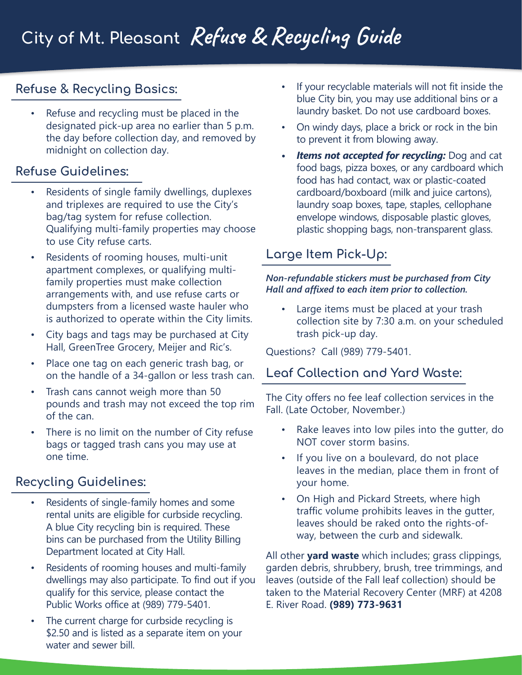## **Refuse & Recycling Basics:**

• Refuse and recycling must be placed in the designated pick-up area no earlier than 5 p.m. the day before collection day, and removed by midnight on collection day.

### **Refuse Guidelines:**

- Residents of single family dwellings, duplexes and triplexes are required to use the City's bag/tag system for refuse collection. Qualifying multi-family properties may choose to use City refuse carts.
- Residents of rooming houses, multi-unit apartment complexes, or qualifying multifamily properties must make collection arrangements with, and use refuse carts or dumpsters from a licensed waste hauler who is authorized to operate within the City limits.
- City bags and tags may be purchased at City Hall, GreenTree Grocery, Meijer and Ric's.
- Place one tag on each generic trash bag, or on the handle of a 34-gallon or less trash can.
- Trash cans cannot weigh more than 50 pounds and trash may not exceed the top rim of the can.
- There is no limit on the number of City refuse bags or tagged trash cans you may use at one time.

## **Recycling Guidelines:**

- Residents of single-family homes and some rental units are eligible for curbside recycling. A blue City recycling bin is required. These bins can be purchased from the Utility Billing Department located at City Hall.
- Residents of rooming houses and multi-family dwellings may also participate. To find out if you qualify for this service, please contact the Public Works office at (989) 779-5401.
- The current charge for curbside recycling is \$2.50 and is listed as a separate item on your water and sewer bill.
- If your recyclable materials will not fit inside the blue City bin, you may use additional bins or a laundry basket. Do not use cardboard boxes.
- On windy days, place a brick or rock in the bin to prevent it from blowing away.
- *• Items not accepted for recycling:* Dog and cat food bags, pizza boxes, or any cardboard which food has had contact, wax or plastic-coated cardboard/boxboard (milk and juice cartons), laundry soap boxes, tape, staples, cellophane envelope windows, disposable plastic gloves, plastic shopping bags, non-transparent glass.

## **Large Item Pick-Up:**

#### *Non-refundable stickers must be purchased from City Hall and affixed to each item prior to collection.*

• Large items must be placed at your trash collection site by 7:30 a.m. on your scheduled trash pick-up day.

Questions? Call (989) 779-5401.

### **Leaf Collection and Yard Waste:**

The City offers no fee leaf collection services in the Fall. (Late October, November.)

- Rake leaves into low piles into the gutter, do NOT cover storm basins.
- If you live on a boulevard, do not place leaves in the median, place them in front of your home.
- On High and Pickard Streets, where high traffic volume prohibits leaves in the gutter, leaves should be raked onto the rights-ofway, between the curb and sidewalk.

All other **yard waste** which includes; grass clippings, garden debris, shrubbery, brush, tree trimmings, and leaves (outside of the Fall leaf collection) should be taken to the Material Recovery Center (MRF) at 4208 E. River Road. **(989) 773-9631**